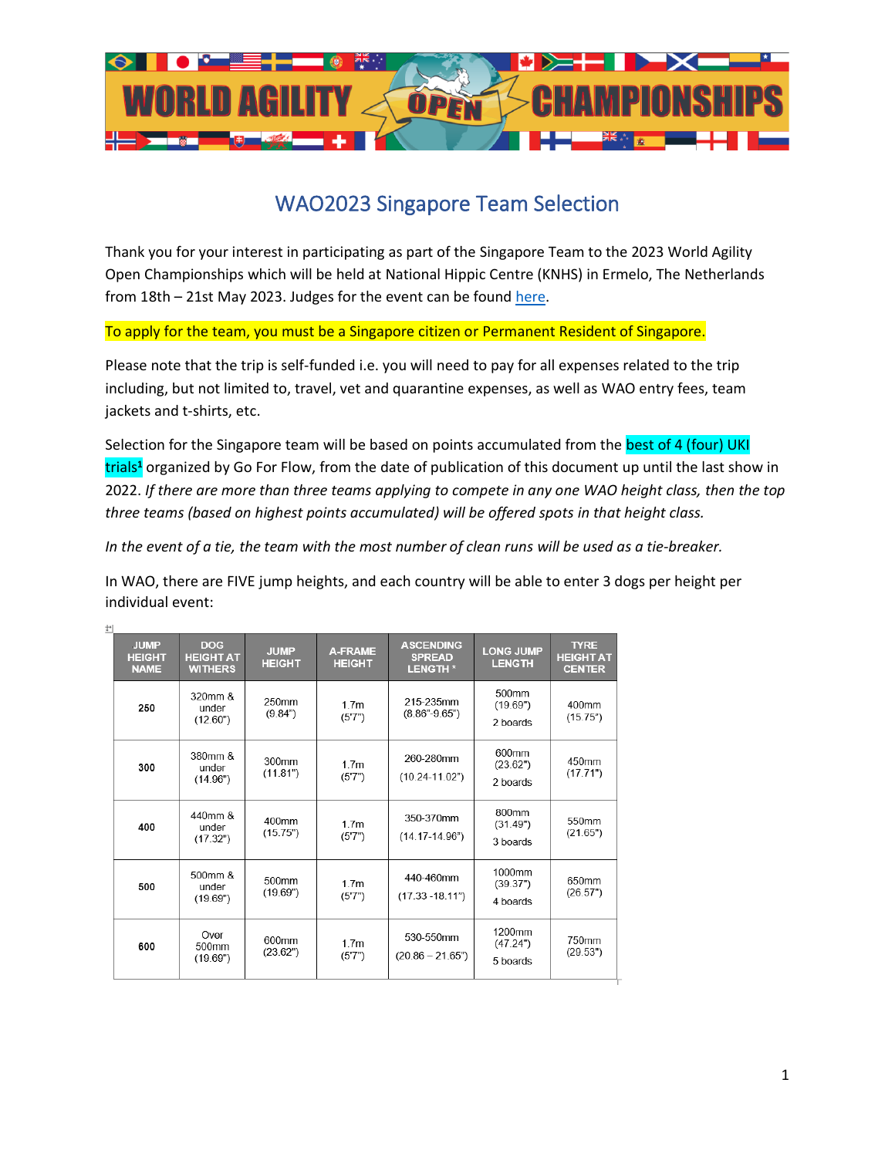

## WAO2023 Singapore Team Selection

Thank you for your interest in participating as part of the Singapore Team to the 2023 World Agility Open Championships which will be held at National Hippic Centre (KNHS) in Ermelo, The Netherlands from 18th – 21st May 2023. Judges for the event can be found [here.](https://www.worldagilityopen.com/judges-2023/)

To apply for the team, you must be a Singapore citizen or Permanent Resident of Singapore.

Please note that the trip is self-funded i.e. you will need to pay for all expenses related to the trip including, but not limited to, travel, vet and quarantine expenses, as well as WAO entry fees, team jackets and t-shirts, etc.

Selection for the Singapore team will be based on points accumulated from the best of 4 (four) UKI trials**<sup>1</sup>** organized by Go For Flow, from the date of publication of this document up until the last show in 2022. *If there are more than three teams applying to compete in any one WAO height class, then the top three teams (based on highest points accumulated) will be offered spots in that height class.*

*In the event of a tie, the team with the most number of clean runs will be used as a tie-breaker.*

In WAO, there are FIVE jump heights, and each country will be able to enter 3 dogs per height per individual event:

| <b>JUMP</b><br><b>HEIGHT</b><br><b>NAME</b> | <b>DOG</b><br><b>HEIGHT AT</b><br><b>WITHERS</b> | <b>JUMP</b><br><b>HEIGHT</b> | <b>A-FRAME</b><br><b>HEIGHT</b> | <b>ASCENDING</b><br><b>SPREAD</b><br><b>LENGTH*</b> | <b>LONG JUMP</b><br><b>LENGTH</b> | <b>TYRE</b><br><b>HEIGHT AT</b><br><b>CENTER</b> |
|---------------------------------------------|--------------------------------------------------|------------------------------|---------------------------------|-----------------------------------------------------|-----------------------------------|--------------------------------------------------|
| 250                                         | 320mm &<br>under<br>(12.60")                     | 250mm<br>(9.84)              | 1.7 <sub>m</sub><br>(5'7")      | 215-235mm<br>$(8.86 - 9.65)$                        | 500mm<br>(19.69")<br>2 boards     | 400mm<br>(15.75)                                 |
| 300                                         | 380mm &<br>under<br>(14.96")                     | 300mm<br>(11.81")            | 1.7 <sub>m</sub><br>(5'7")      | 260-280mm<br>$(10.24 - 11.02")$                     | 600mm<br>(23.62")<br>2 boards     | 450mm<br>(17.71")                                |
| 400                                         | 440mm &<br>under<br>(17.32")                     | 400mm<br>(15.75")            | 1.7 <sub>m</sub><br>(5'7")      | 350-370mm<br>$(14.17 - 14.96)$                      | 800mm<br>(31.49")<br>3 boards     | 550mm<br>(21.65")                                |
| 500                                         | 500mm &<br>under<br>(19.69")                     | 500mm<br>(19.69")            | 1.7 <sub>m</sub><br>(5'7")      | 440-460mm<br>$(17.33 - 18.11n)$                     | 1000mm<br>(39.37")<br>4 boards    | 650mm<br>(26.57")                                |
| 600                                         | Over<br>500 <sub>mm</sub><br>(19.69")            | 600mm<br>(23.62")            | 1.7 <sub>m</sub><br>(5'7")      | 530-550mm<br>$(20.86 - 21.65)$                      | 1200mm<br>(47.24")<br>5 boards    | 750mm<br>(29.53")                                |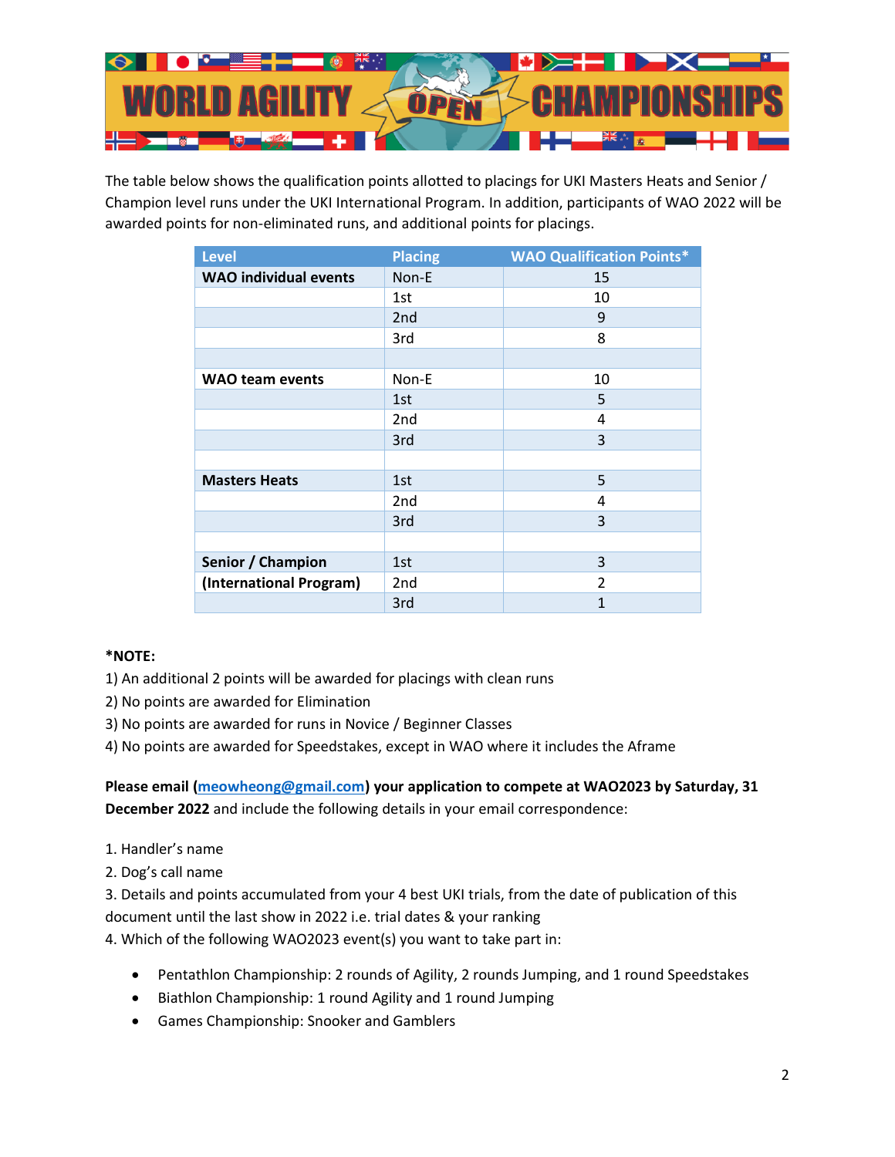

The table below shows the qualification points allotted to placings for UKI Masters Heats and Senior / Champion level runs under the UKI International Program. In addition, participants of WAO 2022 will be awarded points for non-eliminated runs, and additional points for placings.

| <b>Level</b>                 | <b>Placing</b>  | <b>WAO Qualification Points*</b> |
|------------------------------|-----------------|----------------------------------|
| <b>WAO</b> individual events | Non-E           | 15                               |
|                              | 1st             | 10                               |
|                              | 2 <sub>nd</sub> | 9                                |
|                              | 3rd             | 8                                |
|                              |                 |                                  |
| <b>WAO team events</b>       | Non-E           | 10                               |
|                              | 1st             | 5                                |
|                              | 2nd             | 4                                |
|                              | 3rd             | 3                                |
|                              |                 |                                  |
| <b>Masters Heats</b>         | 1st             | 5                                |
|                              | 2nd             | 4                                |
|                              | 3rd             | 3                                |
|                              |                 |                                  |
| Senior / Champion            | 1st             | 3                                |
| (International Program)      | 2nd             | $\overline{2}$                   |
|                              | 3rd             | 1                                |

## **\*NOTE:**

- 1) An additional 2 points will be awarded for placings with clean runs
- 2) No points are awarded for Elimination
- 3) No points are awarded for runs in Novice / Beginner Classes

4) No points are awarded for Speedstakes, except in WAO where it includes the Aframe

**Please email [\(meowheong@gmail.com\)](mailto:meowheong@gmail.com) your application to compete at WAO2023 by Saturday, 31 December 2022** and include the following details in your email correspondence:

- 1. Handler's name
- 2. Dog's call name

3. Details and points accumulated from your 4 best UKI trials, from the date of publication of this document until the last show in 2022 i.e. trial dates & your ranking

4. Which of the following WAO2023 event(s) you want to take part in:

- Pentathlon Championship: 2 rounds of Agility, 2 rounds Jumping, and 1 round Speedstakes
- Biathlon Championship: 1 round Agility and 1 round Jumping
- Games Championship: Snooker and Gamblers